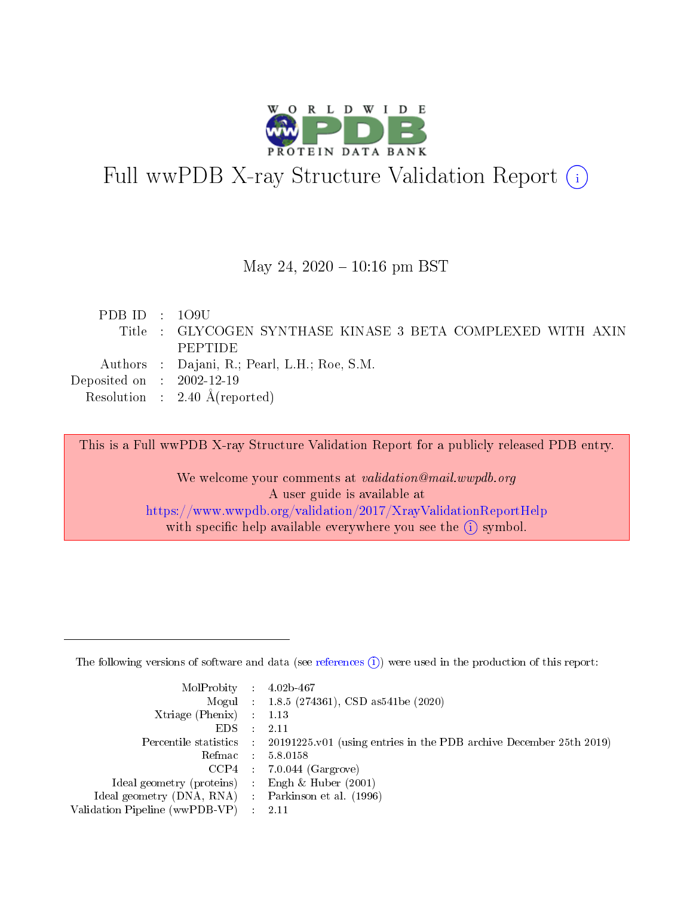

# Full wwPDB X-ray Structure Validation Report (i)

#### May 24,  $2020 - 10:16$  pm BST

| PDBID : 109U                         |                                                             |
|--------------------------------------|-------------------------------------------------------------|
|                                      | Title : GLYCOGEN SYNTHASE KINASE 3 BETA COMPLEXED WITH AXIN |
|                                      | PEPTIDE                                                     |
|                                      | Authors : Dajani, R.; Pearl, L.H.; Roe, S.M.                |
| Deposited on $\therefore$ 2002-12-19 |                                                             |
|                                      | Resolution : $2.40 \text{ Å}$ (reported)                    |

This is a Full wwPDB X-ray Structure Validation Report for a publicly released PDB entry.

We welcome your comments at validation@mail.wwpdb.org A user guide is available at <https://www.wwpdb.org/validation/2017/XrayValidationReportHelp> with specific help available everywhere you see the  $(i)$  symbol.

The following versions of software and data (see [references](https://www.wwpdb.org/validation/2017/XrayValidationReportHelp#references)  $(1)$ ) were used in the production of this report:

| $MolProbability$ : 4.02b-467                      |                              |                                                                                            |
|---------------------------------------------------|------------------------------|--------------------------------------------------------------------------------------------|
|                                                   |                              | Mogul : $1.8.5$ (274361), CSD as 541be (2020)                                              |
| Xtriage (Phenix) $: 1.13$                         |                              |                                                                                            |
| EDS –                                             | $\sim$                       | -2.11                                                                                      |
|                                                   |                              | Percentile statistics : 20191225.v01 (using entries in the PDB archive December 25th 2019) |
| Refmac : 5.8.0158                                 |                              |                                                                                            |
| CCP4                                              |                              | $7.0.044$ (Gargrove)                                                                       |
| Ideal geometry (proteins)                         | $\mathcal{L}_{\mathrm{eff}}$ | Engh & Huber $(2001)$                                                                      |
| Ideal geometry (DNA, RNA) Parkinson et al. (1996) |                              |                                                                                            |
| Validation Pipeline (wwPDB-VP) : 2.11             |                              |                                                                                            |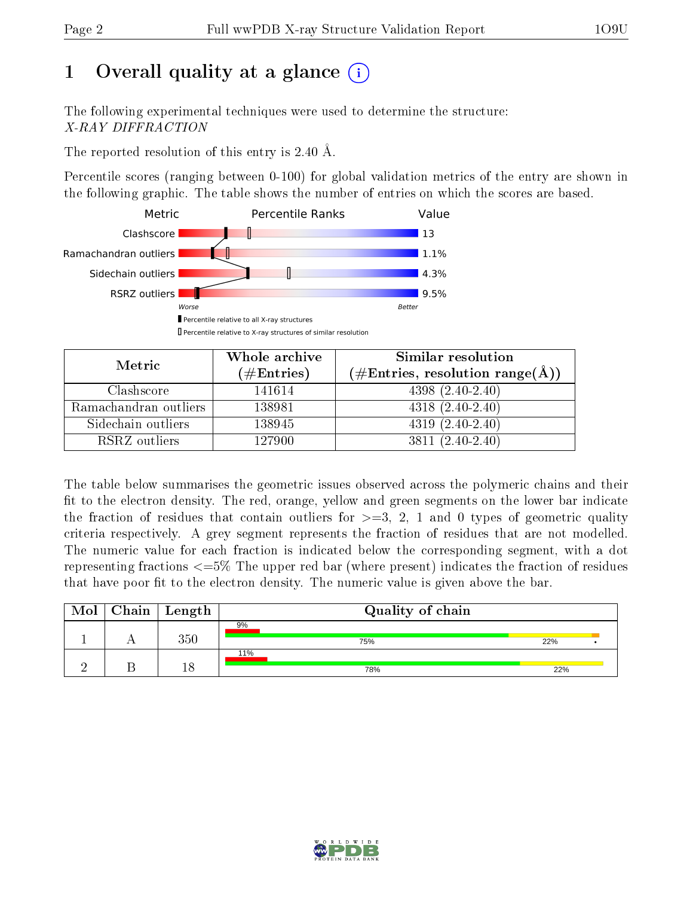# 1 [O](https://www.wwpdb.org/validation/2017/XrayValidationReportHelp#overall_quality)verall quality at a glance  $(i)$

The following experimental techniques were used to determine the structure: X-RAY DIFFRACTION

The reported resolution of this entry is 2.40 Å.

Percentile scores (ranging between 0-100) for global validation metrics of the entry are shown in the following graphic. The table shows the number of entries on which the scores are based.



| Metric                | Whole archive          | Similar resolution                                        |
|-----------------------|------------------------|-----------------------------------------------------------|
|                       | $(\#\mathrm{Entries})$ | $(\#\text{Entries}, \text{resolution range}(\text{\AA}))$ |
| Clashscore            | 141614                 | $4398(2.40-2.40)$                                         |
| Ramachandran outliers | 138981                 | $4318(2.40-2.40)$                                         |
| Sidechain outliers    | 138945                 | $4319(2.40-2.40)$                                         |
| RSRZ outliers         | 127900                 | $3811 (2.40 - 2.40)$                                      |

The table below summarises the geometric issues observed across the polymeric chains and their fit to the electron density. The red, orange, yellow and green segments on the lower bar indicate the fraction of residues that contain outliers for  $\geq=3$ , 2, 1 and 0 types of geometric quality criteria respectively. A grey segment represents the fraction of residues that are not modelled. The numeric value for each fraction is indicated below the corresponding segment, with a dot representing fractions  $\epsilon = 5\%$  The upper red bar (where present) indicates the fraction of residues that have poor fit to the electron density. The numeric value is given above the bar.

| Mol | $Chain$ Length | Quality of chain |     |  |
|-----|----------------|------------------|-----|--|
|     | 350            | 9%<br>75%        | 22% |  |
|     | 18             | 11%<br>78%       | 22% |  |

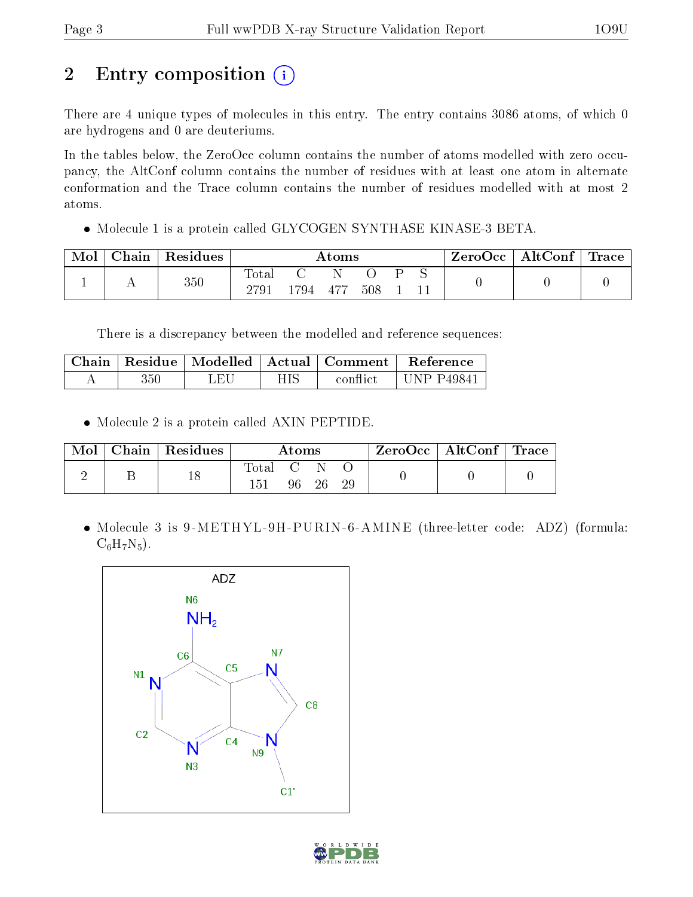# 2 Entry composition (i)

There are 4 unique types of molecules in this entry. The entry contains 3086 atoms, of which 0 are hydrogens and 0 are deuteriums.

In the tables below, the ZeroOcc column contains the number of atoms modelled with zero occupancy, the AltConf column contains the number of residues with at least one atom in alternate conformation and the Trace column contains the number of residues modelled with at most 2 atoms.

Molecule 1 is a protein called GLYCOGEN SYNTHASE KINASE-3 BETA.

| Mol | $_{\rm Chain}$ | Residues | Atoms         |      |       |     |  | $\text{ZeroOcc}$   AltConf   Trace |  |  |
|-----|----------------|----------|---------------|------|-------|-----|--|------------------------------------|--|--|
|     | . .            | 350      | Total<br>2791 | 1794 | - 477 | 508 |  |                                    |  |  |

There is a discrepancy between the modelled and reference sequences:

|     |     |     |          | Chain   Residue   Modelled   Actual   Comment   Reference |
|-----|-----|-----|----------|-----------------------------------------------------------|
| 350 | LEL | НIS | conflict | UNP P49841                                                |

• Molecule 2 is a protein called AXIN PEPTIDE.

| Mol | Chain   Residues | Atoms   |  |          |  | $\rm ZeroOcc \mid AltConf \mid Trace$ |  |
|-----|------------------|---------|--|----------|--|---------------------------------------|--|
|     |                  | Total C |  | 96 26 29 |  |                                       |  |

• Molecule 3 is 9-METHYL-9H-PURIN-6-AMINE (three-letter code: ADZ) (formula:  $C_6H_7N_5$ .



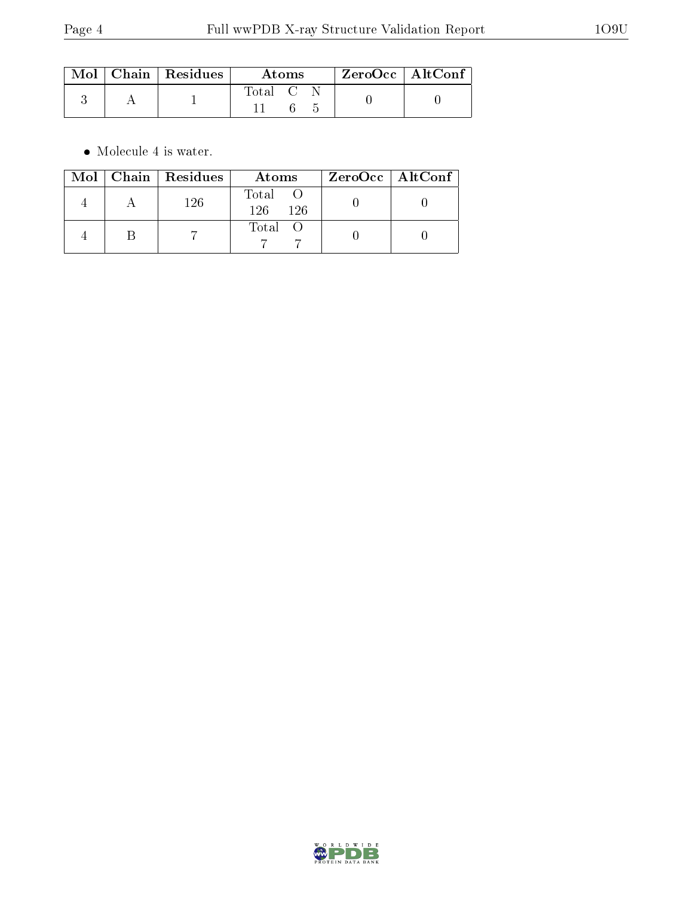|  | $\text{Mol}$   Chain   Residues | Atoms   |  |  | $\rm ZeroOcc$   $\rm AltConf$ |
|--|---------------------------------|---------|--|--|-------------------------------|
|  |                                 | Total C |  |  |                               |

 $\bullet\,$  Molecule 4 is water.

|  | $Mol$   Chain   Residues | Atoms                | $ZeroOcc \mid AltConf \mid$ |
|--|--------------------------|----------------------|-----------------------------|
|  | 126                      | Total<br>126.<br>126 |                             |
|  |                          | Total O              |                             |

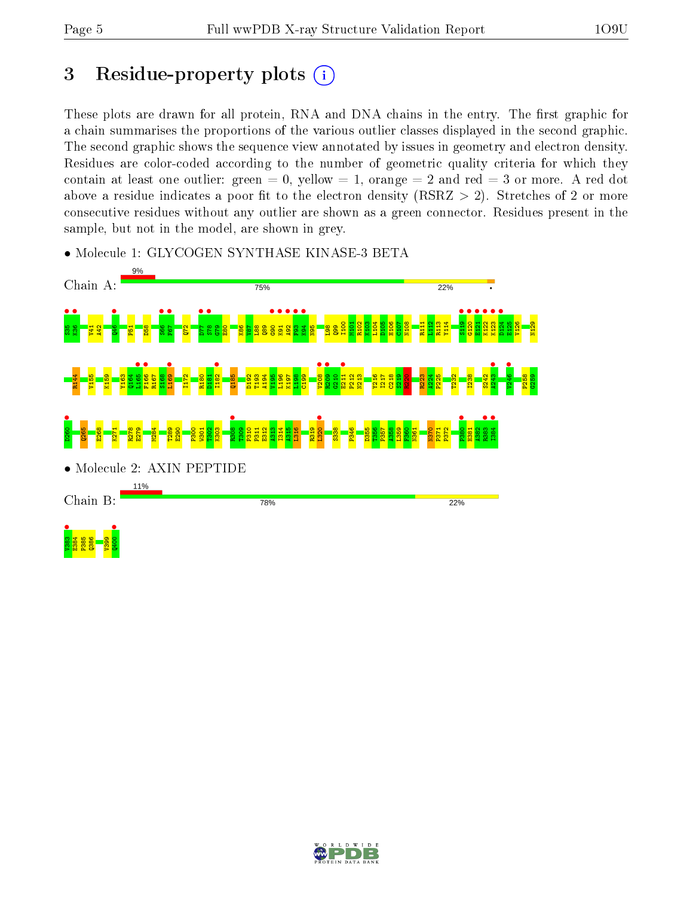## 3 Residue-property plots  $(i)$

These plots are drawn for all protein, RNA and DNA chains in the entry. The first graphic for a chain summarises the proportions of the various outlier classes displayed in the second graphic. The second graphic shows the sequence view annotated by issues in geometry and electron density. Residues are color-coded according to the number of geometric quality criteria for which they contain at least one outlier: green  $= 0$ , yellow  $= 1$ , orange  $= 2$  and red  $= 3$  or more. A red dot above a residue indicates a poor fit to the electron density (RSRZ  $> 2$ ). Stretches of 2 or more consecutive residues without any outlier are shown as a green connector. Residues present in the sample, but not in the model, are shown in grey.

• Molecule 1: GLYCOGEN SYNTHASE KINASE-3 BETA



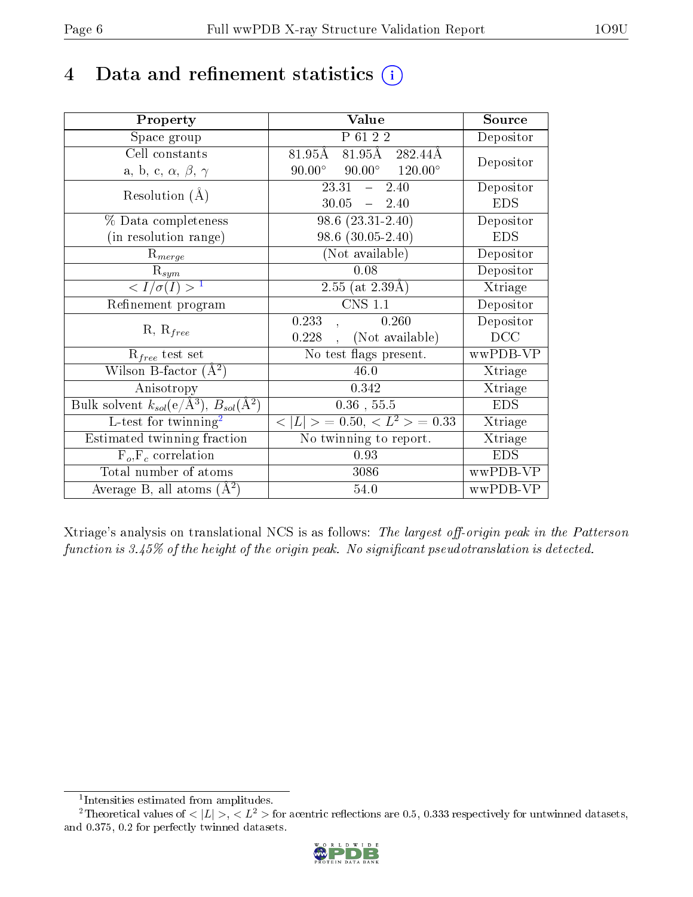## 4 Data and refinement statistics  $(i)$

| Property                                                                | Value                                               | Source                       |
|-------------------------------------------------------------------------|-----------------------------------------------------|------------------------------|
| Space group                                                             | P 61 2 2                                            | Depositor                    |
| Cell constants                                                          | 81.95Å 282.44Å<br>$81.95\text{\AA}$                 | Depositor                    |
| a, b, c, $\alpha$ , $\beta$ , $\gamma$                                  | $90.00^{\circ}$ $120.00^{\circ}$<br>$90.00^{\circ}$ |                              |
| Resolution $(A)$                                                        | 23.31<br>2.40<br>$\frac{1}{2}$                      | Depositor                    |
|                                                                         | 30.05<br>$-2.40$                                    | <b>EDS</b>                   |
| % Data completeness                                                     | $98.6(23.31-2.40)$                                  | Depositor                    |
| (in resolution range)                                                   | $98.6(30.05-2.40)$                                  | <b>EDS</b>                   |
| $R_{merge}$                                                             | (Not available)                                     | Depositor                    |
| $\mathrm{R}_{sym}$                                                      | 0.08                                                | Depositor                    |
| $\langle I/\sigma(I) \rangle^{-1}$                                      | $2.55$ (at $2.39\text{\AA})$                        | Xtriage                      |
| Refinement program                                                      | $CNS$ 1.1                                           | Depositor                    |
| $R, R_{free}$                                                           | 0.233<br>0.260                                      | Depositor                    |
|                                                                         | (Not available)<br>0.228                            | DCC                          |
| $R_{free}$ test set                                                     | No test flags present.                              | wwPDB-VP                     |
| Wilson B-factor $(A^2)$                                                 | 46.0                                                | Xtriage                      |
| Anisotropy                                                              | 0.342                                               | Xtriage                      |
| Bulk solvent $k_{sol}(\mathrm{e}/\mathrm{A}^3),\,B_{sol}(\mathrm{A}^2)$ | $0.36$ , $55.5$                                     | <b>EDS</b>                   |
| L-test for twinning <sup>2</sup>                                        | $< L >$ = 0.50, $< L2$ = 0.33                       | Xtriage                      |
| Estimated twinning fraction                                             | No twinning to report.                              | $\overline{\text{X}}$ triage |
| $F_o, F_c$ correlation                                                  | 0.93                                                | <b>EDS</b>                   |
| Total number of atoms                                                   | 3086                                                | wwPDB-VP                     |
| Average B, all atoms $(A^2)$                                            | 54.0                                                | wwPDB-VP                     |

Xtriage's analysis on translational NCS is as follows: The largest off-origin peak in the Patterson function is  $3.45\%$  of the height of the origin peak. No significant pseudotranslation is detected.

<sup>&</sup>lt;sup>2</sup>Theoretical values of  $\langle |L| \rangle$ ,  $\langle L^2 \rangle$  for acentric reflections are 0.5, 0.333 respectively for untwinned datasets, and 0.375, 0.2 for perfectly twinned datasets.



<span id="page-5-1"></span><span id="page-5-0"></span><sup>1</sup> Intensities estimated from amplitudes.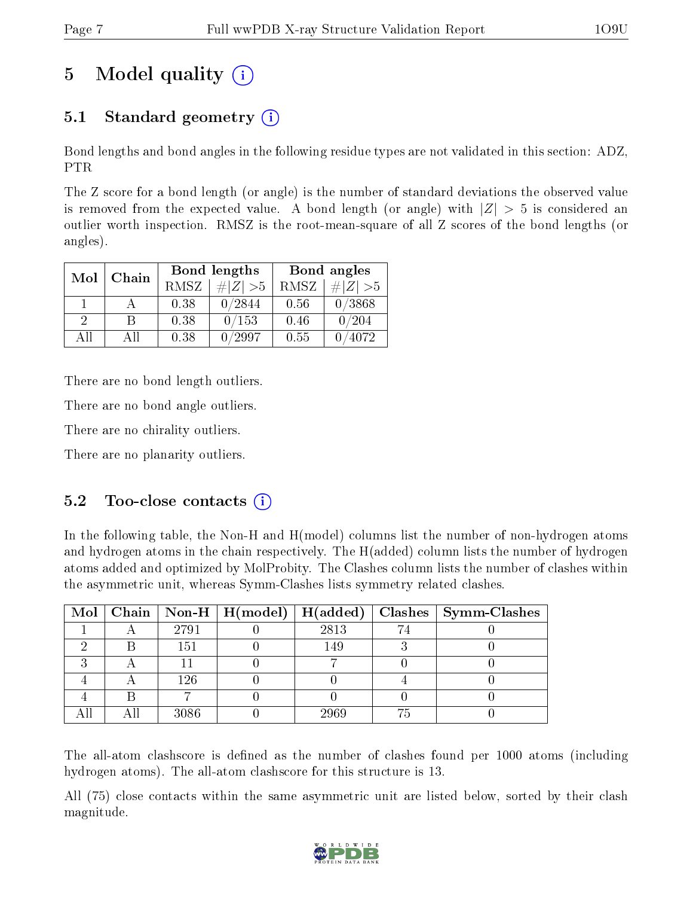## 5 Model quality  $(i)$

## 5.1 Standard geometry  $(i)$

Bond lengths and bond angles in the following residue types are not validated in this section: ADZ, PTR

The Z score for a bond length (or angle) is the number of standard deviations the observed value is removed from the expected value. A bond length (or angle) with  $|Z| > 5$  is considered an outlier worth inspection. RMSZ is the root-mean-square of all Z scores of the bond lengths (or angles).

| Mol           | Chain |      | <b>Bond lengths</b> | Bond angles |             |  |
|---------------|-------|------|---------------------|-------------|-------------|--|
|               |       | RMSZ | $\# Z  > 5$         | RMSZ        | $\# Z  > 5$ |  |
|               |       | 0.38 | 0/2844              | 0.56        | 0/3868      |  |
| $\mathcal{D}$ | R     | 0.38 | 0/153               | 0.46        | 0/204       |  |
| AH            | Аll   | 0.38 | /2997               | 0.55        | 4072        |  |

There are no bond length outliers.

There are no bond angle outliers.

There are no chirality outliers.

There are no planarity outliers.

## $5.2$  Too-close contacts  $(i)$

In the following table, the Non-H and H(model) columns list the number of non-hydrogen atoms and hydrogen atoms in the chain respectively. The H(added) column lists the number of hydrogen atoms added and optimized by MolProbity. The Clashes column lists the number of clashes within the asymmetric unit, whereas Symm-Clashes lists symmetry related clashes.

|  |      |      |    | Mol   Chain   Non-H   H(model)   H(added)   Clashes   Symm-Clashes |
|--|------|------|----|--------------------------------------------------------------------|
|  | 2791 | 2813 |    |                                                                    |
|  | 151  | 149  |    |                                                                    |
|  |      |      |    |                                                                    |
|  | 126  |      |    |                                                                    |
|  |      |      |    |                                                                    |
|  | 3086 | 2969 | 75 |                                                                    |

The all-atom clashscore is defined as the number of clashes found per 1000 atoms (including hydrogen atoms). The all-atom clashscore for this structure is 13.

All (75) close contacts within the same asymmetric unit are listed below, sorted by their clash magnitude.

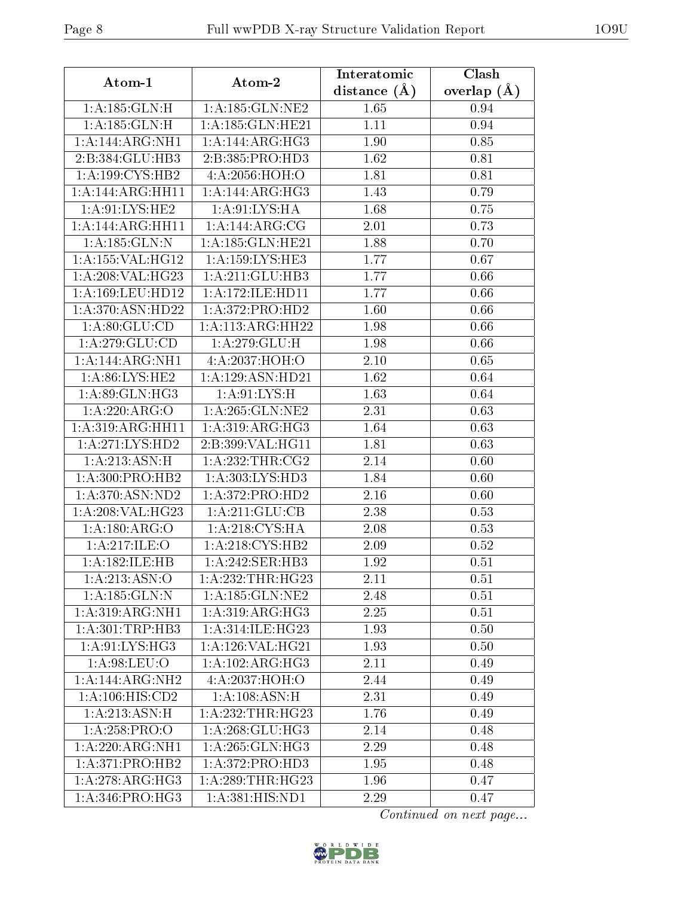| Atom-1                       | Atom-2                               | Interatomic    | Clash         |
|------------------------------|--------------------------------------|----------------|---------------|
|                              |                                      | distance $(A)$ | overlap $(A)$ |
| 1: A: 185: GLN: H            | 1: A: 185: GLN: NE2                  | 1.65           | 0.94          |
| 1:A:185:GLN:H                | 1:A:185:GLN:HE21                     | 1.11           | 0.94          |
| 1:A:144:ARG:NH1              | 1:A:144:ARG:HG3                      | 1.90           | 0.85          |
| 2:B:384:GLU:HB3              | 2:B:385:PRO:HD3                      | 1.62           | 0.81          |
| 1:A:199:CYS:HB2              | 4:A:2056:HOH:O                       | 1.81           | 0.81          |
| 1:A:144:ARG:HH11             | 1:A:144:ARG:HG3                      | 1.43           | 0.79          |
| 1: A:91: LYS: HE2            | 1: A:91: LYS: HA                     | 1.68           | 0.75          |
| 1:A:144:ARG:HH11             | 1:A:144:ARG:CG                       | 2.01           | 0.73          |
| 1: A: 185: GLN:N             | 1:A:185:GLN:HE21                     | 1.88           | 0.70          |
| 1:A:155:VAL:HG12             | 1:A:159:LYS:HE3                      | 1.77           | 0.67          |
| 1:A:208:VAL:HG23             | 1:A:211:GLU:HB3                      | 1.77           | 0.66          |
| 1:A:169:LEU:HD12             | 1: A:172: ILE: HD11                  | 1.77           | 0.66          |
| 1:A:370:ASN:HD22             | 1:A:372:PRO:HD2                      | 1.60           | 0.66          |
| 1: A:80: GLU:CD              | 1: A:113: ARG: HH22                  | 1.98           | 0.66          |
| 1: A:279: GLU:CD             | 1:A:279:GLU:H                        | 1.98           | 0.66          |
| 1:A:144:ARG:NH1              | 4:A:2037:HOH:O                       | 2.10           | 0.65          |
| 1: A:86: LYS: HE2            | 1:A:129:ASN:HD21                     | 1.62           | 0.64          |
| 1:A.89:GLN:HG3               | 1: A:91: LYS:H                       | 1.63           | 0.64          |
| 1:A:220:ARG:O                | 1: A:265: GLN:NE2                    | 2.31           | 0.63          |
| 1:A:319:ARG:HH11             | 1: A:319:ARG:HG3                     | 1.64           | 0.63          |
| 1: A:271: LYS: HD2           | 2:B:399:VAL:HG11                     | 1.81           | 0.63          |
| 1:A:213:ASN:H                | 1: A:232:THR:CG2                     | 2.14           | 0.60          |
| 1: A:300: PRO:HB2            | 1: A:303: LYS: HD3                   | 1.84           | 0.60          |
| 1: A:370:ASN:ND2             | 1:A:372:PRO:HD2                      | 2.16           | 0.60          |
| 1:A:208:VAL:HG23             | 1:A:211:GLU:CB                       | 2.38           | 0.53          |
| 1:A:180:ARG:O                | 1: A:218:CYS:HA                      | 2.08           | 0.53          |
| 1:A:217:ILE:O                | 1:A:218:CYS:HB2                      | 2.09           | 0.52          |
| 1:A:182:ILE:HB               | $1:A:\overline{242:SER:HB3}$         | 1.92           | 0.51          |
| 1:A:213:ASN:O                | 1:A:232:THR:HG23                     | 2.11           | 0.51          |
| 1:A:185:GLN:N                | 1:A:185:GLN:NE2                      | 2.48           | 0.51          |
| $1:A:319:ARG:\overline{NH1}$ | 1: A:319: ARG:HG3                    | 2.25           | 0.51          |
| 1: A:301:TRP:HB3             | $1:A:314:I\overline{\text{LE:HG}23}$ | 1.93           | 0.50          |
| 1: A:91: LYS: HG3            | 1: A:126: VAL:HG21                   | 1.93           | 0.50          |
| 1: A:98:LEU:O                | 1:A:102:ARG:HG3                      | 2.11           | 0.49          |
| 1:A:144:ARG:NH2              | 4:A:2037:HOH:O                       | 2.44           | 0.49          |
| 1: A: 106: HIS: CD2          | 1: A:108: ASN:H                      | 2.31           | 0.49          |
| 1:A:213:ASN:H                | 1:A:232:THR:HG23                     | 1.76           | 0.49          |
| 1:A:258:PRO:O                | 1: A: 268: GLU: HG3                  | 2.14           | 0.48          |
| 1:A:220:ARG:NH1              | 1:A:265:GLN:HG3                      | 2.29           | 0.48          |
| 1:A:371:PRO:HB2              | 1: A:372: PRO:HD3                    | 1.95           | 0.48          |
| 1:A:278:ARG:HG3              | 1: A:289:THR:HG23                    | 1.96           | 0.47          |
| $1:A:346:\overline{PRO:HG3}$ | 1: A: 381: HIS: ND1                  | 2.29           | 0.47          |

Continued on next page...

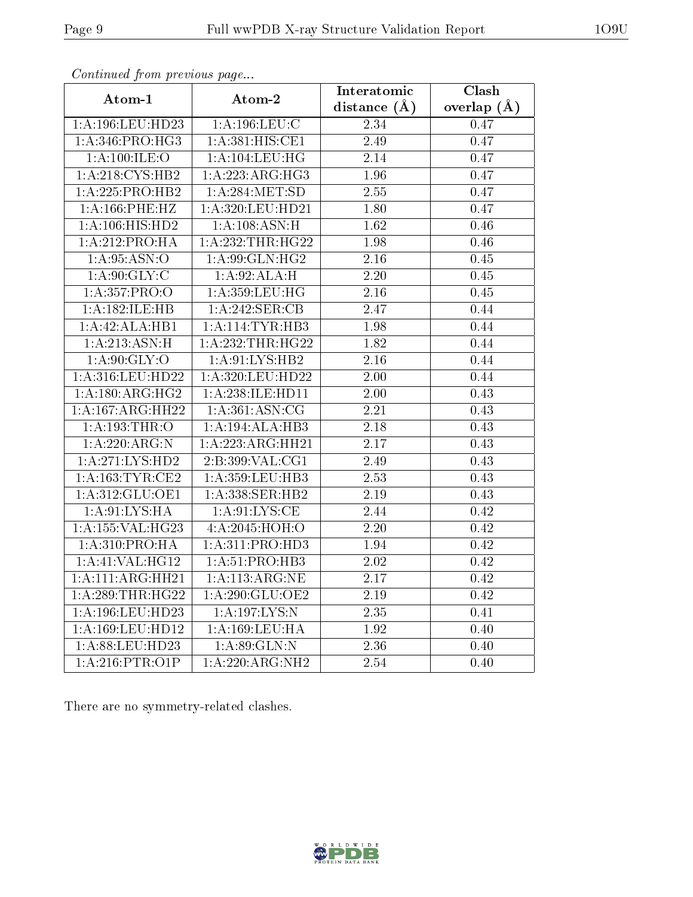| Atom-1              | Atom-2               | Interatomic       | $\overline{\text{Clash}}$ |
|---------------------|----------------------|-------------------|---------------------------|
|                     |                      | distance $(A)$    | overlap $(A)$             |
| 1:A:196:LEU:HD23    | 1: A: 196: LEU: C    | 2.34              | 0.47                      |
| 1: A:346: PRO:HG3   | 1: A:381: HIS: CE1   | 2.49              | 0.47                      |
| 1: A:100: ILE:O     | 1: A: 104: LEU: HG   | 2.14              | 0.47                      |
| 1:A:218:CYS:HB2     | 1:A:223:ARG:HG3      | 1.96              | 0.47                      |
| 1:A:225:PRO:HB2     | 1: A:284:MET:SD      | 2.55              | 0.47                      |
| 1: A:166: PHE:HZ    | 1:A:320:LEU:HD21     | 1.80              | 0.47                      |
| 1:A:106:HIS:HD2     | 1: A:108: ASN:H      | 1.62              | 0.46                      |
| 1:A:212:PRO:HA      | 1: A: 232: THR: HG22 | 1.98              | 0.46                      |
| 1: A:95: ASN:O      | 1:A:99:GLN:HG2       | $\overline{2.16}$ | 0.45                      |
| 1: A:90: GLY: C     | 1:A:92:ALA:H         | 2.20              | 0.45                      |
| 1:A:357:PRO:O       | 1: A: 359: LEU: HG   | 2.16              | 0.45                      |
| 1:A:182:ILE:HB      | 1:A:242:SER:CB       | 2.47              | 0.44                      |
| 1:A:42:ALA:HB1      | 1: A:114:TYR:HB3     | 1.98              | 0.44                      |
| 1:A:213:ASN:H       | 1: A: 232: THR: HG22 | 1.82              | 0.44                      |
| 1: A:90: GLY:O      | 1: A:91: LYS: HB2    | 2.16              | 0.44                      |
| 1:A:316:LEU:HD22    | 1:A:320:LEU:HD22     | 2.00              | 0.44                      |
| 1:A:180:ARG:HG2     | 1: A:238: ILE: HD11  | 2.00              | 0.43                      |
| 1:A:167:ARG:HH22    | 1: A:361: ASN: CG    | 2.21              | 0.43                      |
| 1: A: 193: THR: O   | 1:A:194:ALA:HB3      | 2.18              | 0.43                      |
| 1:A:220:ARG:N       | 1:A:223:ARG:HH21     | 2.17              | 0.43                      |
| 1:A:271:LYS:HD2     | 2:B:399:VAL:CG1      | 2.49              | 0.43                      |
| 1: A: 163: TYR: CE2 | 1: A: 359: LEU: HB3  | 2.53              | 0.43                      |
| 1:A:312:GLU:OE1     | 1: A: 338: SER: HB2  | 2.19              | 0.43                      |
| 1: A:91: LYS: HA    | 1: A:91: LYS:CE      | 2.44              | 0.42                      |
| 1:A:155:VAL:HG23    | 4:A:2045:HOH:O       | 2.20              | 0.42                      |
| 1: A:310: PRO:HA    | 1: A:311: PRO:HD3    | 1.94              | 0.42                      |
| 1:A:41:VAL:HG12     | 1:A:51:PRO:HB3       | 2.02              | 0.42                      |
| 1:A:111:ARG:HH21    | 1:A:113:ARG:NE       | 2.17              | 0.42                      |
| 1: A:289:THR:HG22   | 1: A:290: GLU:OE2    | 2.19              | 0.42                      |
| 1:A:196:LEU:HD23    | 1:A:197:LYS:N        | 2.35              | 0.41                      |
| 1:A:169:LEU:HD12    | 1:A:169:LEU:HA       | 1.92              | 0.40                      |
| 1:A:88:LEU:HD23     | 1: A:89: GLN:N       | 2.36              | 0.40                      |
| 1: A:216:PTR:O1P    | 1:A:220:ARG:NH2      | 2.54              | 0.40                      |

Continued from previous page...

There are no symmetry-related clashes.

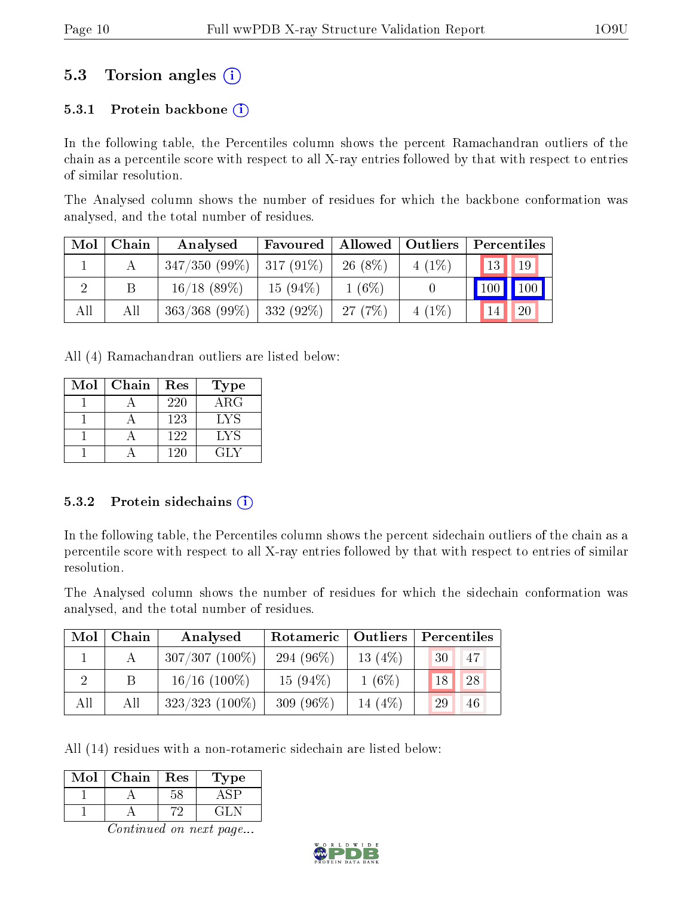## 5.3 Torsion angles (i)

#### 5.3.1 Protein backbone  $(i)$

In the following table, the Percentiles column shows the percent Ramachandran outliers of the chain as a percentile score with respect to all X-ray entries followed by that with respect to entries of similar resolution.

The Analysed column shows the number of residues for which the backbone conformation was analysed, and the total number of residues.

| Mol | Chain | Analysed         | Favoured     | Allowed   | $\vert$ Outliers | Percentiles     |                     |
|-----|-------|------------------|--------------|-----------|------------------|-----------------|---------------------|
|     |       | $347/350(99\%)$  | $ 317(91\%)$ | $26(8\%)$ | $4(1\%)$         | 13 <sup>1</sup> | 19                  |
|     |       | $16/18$ (89\%)   | $15(94\%)$   | $1(6\%)$  |                  | 100             | $\vert$ 100 $\vert$ |
| All | All   | $363/368$ (99\%) | $332(92\%)$  | 27(7%)    | $4(1\%)$         | 14              | 20                  |

All (4) Ramachandran outliers are listed below:

| Mol | Chain | Res | Type        |
|-----|-------|-----|-------------|
|     |       | 220 | ${\rm ARG}$ |
|     |       | 123 | LYS         |
|     |       | 122 | LYS         |
|     |       | 120 | GIN         |

#### 5.3.2 Protein sidechains  $(i)$

In the following table, the Percentiles column shows the percent sidechain outliers of the chain as a percentile score with respect to all X-ray entries followed by that with respect to entries of similar resolution.

The Analysed column shows the number of residues for which the sidechain conformation was analysed, and the total number of residues.

| Mol | Chain | Analysed          | <b>Outliers</b><br>Rotameric |           | Percentiles |  |  |
|-----|-------|-------------------|------------------------------|-----------|-------------|--|--|
|     |       | $307/307(100\%)$  | 294 $(96\%)$                 | 13 $(4%)$ | 47<br>30    |  |  |
| 2   |       | $16/16$ (100\%)   | $15(94\%)$                   | $1(6\%)$  | 18<br>28    |  |  |
| All | All   | $323/323$ (100\%) | 309 $(96\%)$                 | 14 (4\%)  | 29<br>46    |  |  |

All (14) residues with a non-rotameric sidechain are listed below:

| Mol | Chain | Res | ype   |
|-----|-------|-----|-------|
|     |       |     |       |
|     |       |     | $-11$ |

Continued on next page...

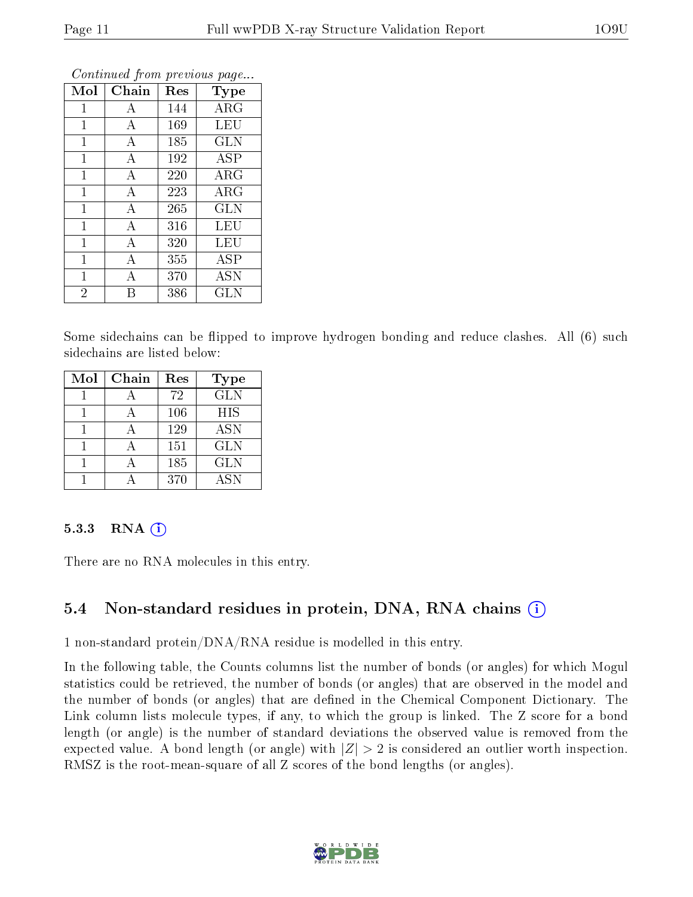| Mol            | Chain            | Res | Type                     |
|----------------|------------------|-----|--------------------------|
| $\mathbf{1}$   | A                | 144 | $\rm{ARG}$               |
| $\mathbf{1}$   | А                | 169 | LEU                      |
| 1              | А                | 185 | <b>GLN</b>               |
| $\mathbf 1$    | $\boldsymbol{A}$ | 192 | <b>ASP</b>               |
| 1              | А                | 220 | $\rm{ARG}$               |
| 1              | $\overline{A}$   | 223 | ARG                      |
| $\mathbf 1$    | A                | 265 | <b>GLN</b>               |
| $\overline{1}$ | А                | 316 | LEU                      |
| 1              | A                | 320 | LEU                      |
| $\mathbf{1}$   | A                | 355 | $\overline{\rm A}\rm SP$ |
| $\mathbf{1}$   | А                | 370 | <b>ASN</b>               |
| $\overline{2}$ |                  | 386 | <b>GLN</b>               |

Continued from previous page...

Some sidechains can be flipped to improve hydrogen bonding and reduce clashes. All (6) such sidechains are listed below:

| Mol | Chain | Res | <b>Type</b> |
|-----|-------|-----|-------------|
|     |       | 72  | <b>GLN</b>  |
|     |       | 106 | <b>HIS</b>  |
|     |       | 129 | <b>ASN</b>  |
|     |       | 151 | <b>GLN</b>  |
|     |       | 185 | <b>GLN</b>  |
|     |       | 370 | <b>ASN</b>  |

#### 5.3.3 RNA $(i)$

There are no RNA molecules in this entry.

## 5.4 Non-standard residues in protein, DNA, RNA chains (i)

1 non-standard protein/DNA/RNA residue is modelled in this entry.

In the following table, the Counts columns list the number of bonds (or angles) for which Mogul statistics could be retrieved, the number of bonds (or angles) that are observed in the model and the number of bonds (or angles) that are defined in the Chemical Component Dictionary. The Link column lists molecule types, if any, to which the group is linked. The Z score for a bond length (or angle) is the number of standard deviations the observed value is removed from the expected value. A bond length (or angle) with  $|Z| > 2$  is considered an outlier worth inspection. RMSZ is the root-mean-square of all Z scores of the bond lengths (or angles).

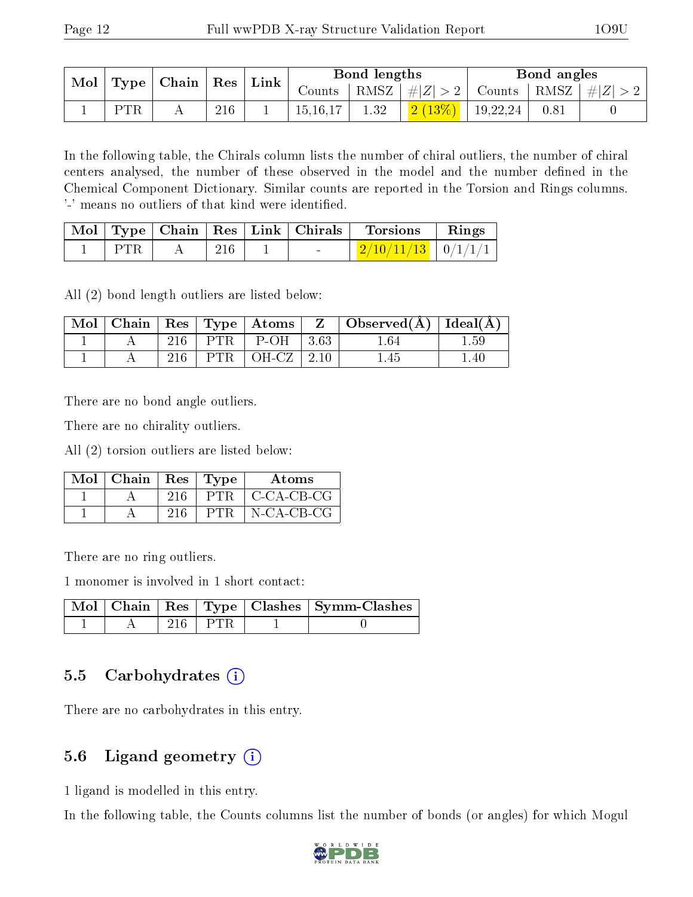|     | Mol   Type   Chain   Res |     | $\mid$ Link |            | Bond lengths |                      | Bond angles |                                                                   |
|-----|--------------------------|-----|-------------|------------|--------------|----------------------|-------------|-------------------------------------------------------------------|
|     |                          |     |             |            |              |                      |             | Counts   RMSZ $\mid \#  Z  > 2$   Counts   RMSZ $\mid \#  Z  > 2$ |
| PTR |                          | 216 |             | 15, 16, 17 | 1.32         | $2(13\%)$   19,22,24 | 0.81        |                                                                   |

In the following table, the Chirals column lists the number of chiral outliers, the number of chiral centers analysed, the number of these observed in the model and the number defined in the Chemical Component Dictionary. Similar counts are reported in the Torsion and Rings columns. '-' means no outliers of that kind were identified.

|       |     |                                  | $\vert$ Mol $\vert$ Type $\vert$ Chain $\vert$ Res $\vert$ Link $\vert$ Chirals $\vert$ Torsions | $\mathbf{Rings}$ |
|-------|-----|----------------------------------|--------------------------------------------------------------------------------------------------|------------------|
| ∣ PTR | 216 | <b><i><u>Participate</u></i></b> | $\mid$ 2/10/11/13 $\mid$ 0/1/1/1 $\mid$                                                          |                  |

All (2) bond length outliers are listed below:

|  |     |                                           | $\vert$ Mol $\vert$ Chain $\vert$ Res $\vert$ Type $\vert$ Atoms $\vert$ Z $\vert$ Observed(A) $\vert$ Ideal(A) |      |
|--|-----|-------------------------------------------|-----------------------------------------------------------------------------------------------------------------|------|
|  | 216 | $\mid$ PTR $\mid$ P-OH $\mid$ 3.63 $\mid$ | 1.64                                                                                                            | 1.59 |
|  | 216 | $\text{PTR}$   OH-CZ   2.10               | 1.45                                                                                                            | 1.40 |

There are no bond angle outliers.

There are no chirality outliers.

All (2) torsion outliers are listed below:

| $\text{Mol}$   Chain   Res   Type |     |      | <b>Atoms</b>        |
|-----------------------------------|-----|------|---------------------|
|                                   | 216 | PTR. | $\mid$ C-CA-CB-CG   |
|                                   |     | PTR. | $N\text{-CA-CB-CG}$ |

There are no ring outliers.

1 monomer is involved in 1 short contact:

|  |       | Mol   Chain   Res   Type   Clashes   Symm-Clashes |
|--|-------|---------------------------------------------------|
|  | ⊑PTR. |                                                   |

### 5.5 Carbohydrates (i)

There are no carbohydrates in this entry.

## 5.6 Ligand geometry (i)

1 ligand is modelled in this entry.

In the following table, the Counts columns list the number of bonds (or angles) for which Mogul

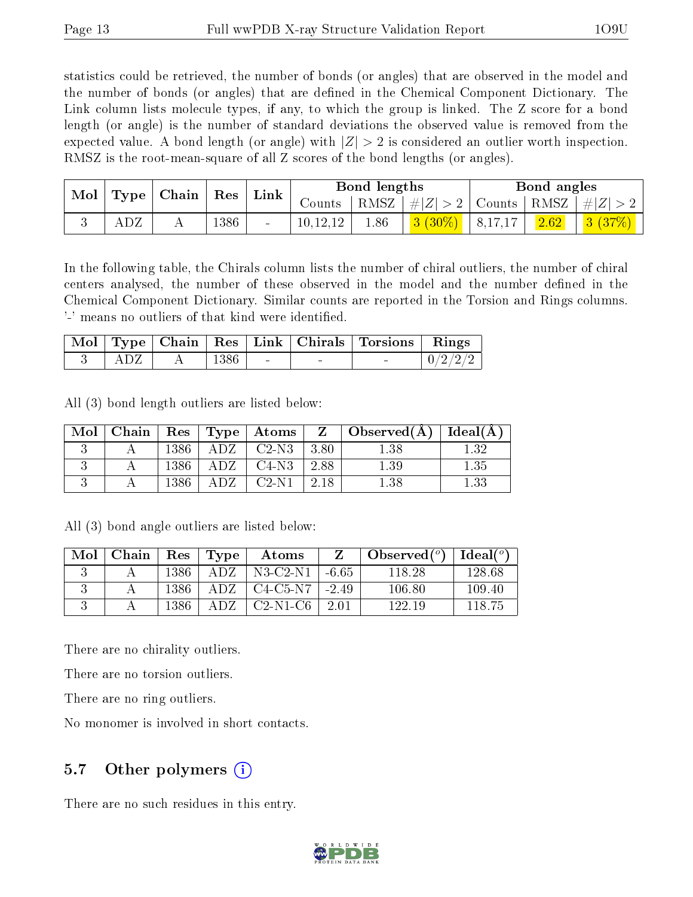statistics could be retrieved, the number of bonds (or angles) that are observed in the model and the number of bonds (or angles) that are defined in the Chemical Component Dictionary. The Link column lists molecule types, if any, to which the group is linked. The Z score for a bond length (or angle) is the number of standard deviations the observed value is removed from the expected value. A bond length (or angle) with  $|Z| > 2$  is considered an outlier worth inspection. RMSZ is the root-mean-square of all Z scores of the bond lengths (or angles).

|  | $\blacksquare$ Mol<br>Type |  |      |        |            | Chain | Res       | Link     |                | Bond lengths                                                                 |  |  | Bond angles |  |  |
|--|----------------------------|--|------|--------|------------|-------|-----------|----------|----------------|------------------------------------------------------------------------------|--|--|-------------|--|--|
|  |                            |  |      |        | Counts '   |       |           |          |                | $\mid$ RMSZ $\mid \#  Z  > 2 \mid$ Counts $\mid$ RMSZ $\mid \#  Z  > 2 \mid$ |  |  |             |  |  |
|  |                            |  | 1386 | $\sim$ | 10, 12, 12 | 1.86  | $3(30\%)$ | 18,17,17 | $\boxed{2.62}$ | 3(37%)                                                                       |  |  |             |  |  |

In the following table, the Chirals column lists the number of chiral outliers, the number of chiral centers analysed, the number of these observed in the model and the number defined in the Chemical Component Dictionary. Similar counts are reported in the Torsion and Rings columns. '-' means no outliers of that kind were identified.

|  |      |  | Mol   Type   Chain   Res   Link   Chirals   Torsions   Rings |  |
|--|------|--|--------------------------------------------------------------|--|
|  | 1386 |  |                                                              |  |

All (3) bond length outliers are listed below:

| Mol | Chain |      |     | Res   Type   Atoms |      | $\perp$ Z $\perp$ Observed(A) $\perp$ Ideal(A) |          |
|-----|-------|------|-----|--------------------|------|------------------------------------------------|----------|
|     |       | 1386 |     | $C2-N3$            | 3.80 | $_{1.38}$                                      | 1.32     |
|     |       | 1386 | ADZ | $C4-N3$            | 2.88 | $1.39\,$                                       | 1.35     |
|     |       | 1386 |     | C2-N1              | 2.18 | $1.38\,$                                       | $1.33\,$ |

All (3) bond angle outliers are listed below:

| Mol | Chain |      | Res   Type | Atoms              |      | $\Delta$ Observed $({}^o)$ | Ideal $(°)$ |
|-----|-------|------|------------|--------------------|------|----------------------------|-------------|
|     |       | 1386 | A D Z      | $N3-C2-N1$ -6.65   |      | 118.28                     | 128.68      |
|     |       | 1386 | A D Z      | $C4-C5-N7$   -2.49 |      | 106.80                     | 109.40      |
|     |       | 1386 | A DZ.      | $C2-N1-C6$         | 2.01 | 122.19                     | 118 75      |

There are no chirality outliers.

There are no torsion outliers.

There are no ring outliers.

No monomer is involved in short contacts.

### 5.7 [O](https://www.wwpdb.org/validation/2017/XrayValidationReportHelp#nonstandard_residues_and_ligands)ther polymers  $(i)$

There are no such residues in this entry.

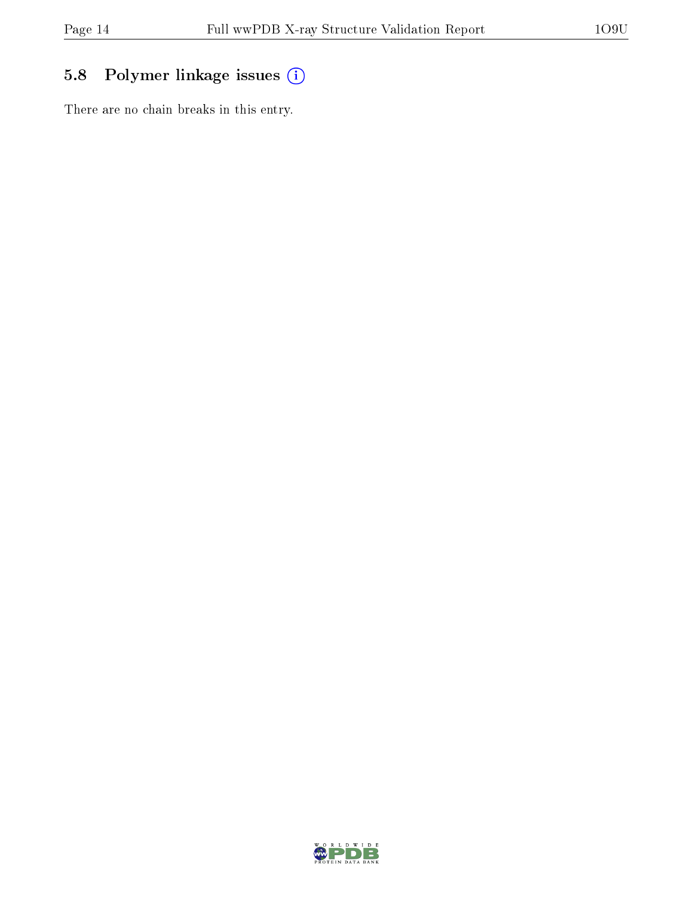## 5.8 Polymer linkage issues (i)

There are no chain breaks in this entry.

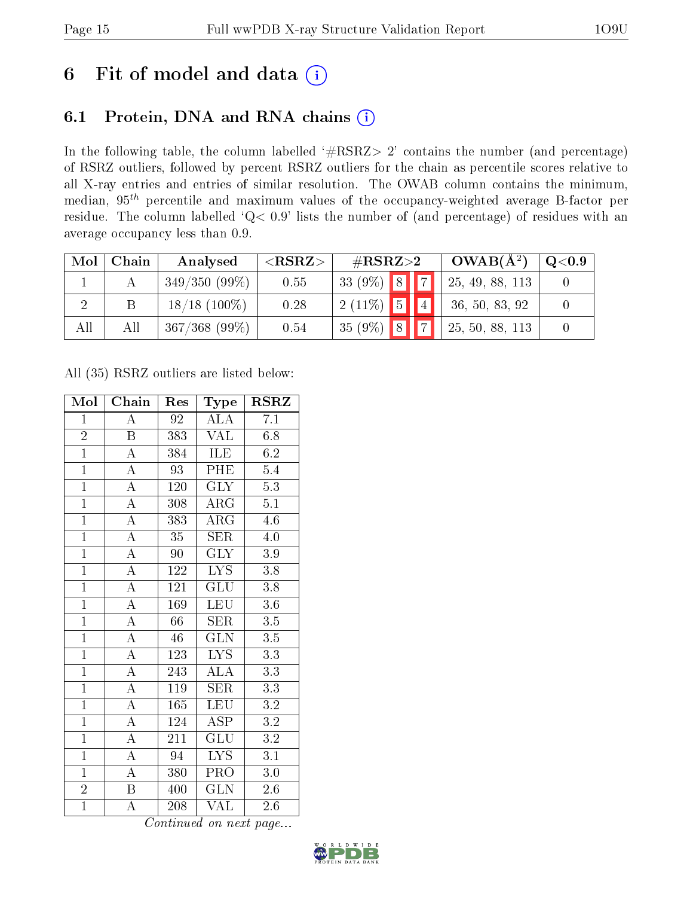## 6 Fit of model and data  $(i)$

## 6.1 Protein, DNA and RNA chains  $(i)$

In the following table, the column labelled  $#RSRZ> 2'$  contains the number (and percentage) of RSRZ outliers, followed by percent RSRZ outliers for the chain as percentile scores relative to all X-ray entries and entries of similar resolution. The OWAB column contains the minimum, median,  $95<sup>th</sup>$  percentile and maximum values of the occupancy-weighted average B-factor per residue. The column labelled ' $Q< 0.9$ ' lists the number of (and percentage) of residues with an average occupancy less than 0.9.

| Mol | Chain | Analysed        | ${ <\hspace{-1.5pt}{\mathrm{RSRZ}} \hspace{-1.5pt}>}$ | $\#\text{RSRZ}{>}2$ |  | $OWAB(A^2)$ | Q <sub>0.9</sub> |  |
|-----|-------|-----------------|-------------------------------------------------------|---------------------|--|-------------|------------------|--|
|     |       | $349/350(99\%)$ | 0.55                                                  | 33 (9%) 8 7         |  |             | 125, 49, 88, 113 |  |
|     |       | $18/18$ (100\%) | 0.28                                                  | $12(11\%)$ 5 4      |  |             | 36, 50, 83, 92   |  |
| All | All   | $367/368$ (99%) | 0.54                                                  | $35(9\%)$ 8 7       |  |             | 25, 50, 88, 113  |  |

All (35) RSRZ outliers are listed below:

| Mol            | Chain              | Res              | Type                    | <b>RSRZ</b>      |
|----------------|--------------------|------------------|-------------------------|------------------|
| $\mathbf{1}$   | $\overline{A}$     | 92               | ALA                     | 7.1              |
| $\overline{2}$ | B                  | 383              | <b>VAL</b>              | 6.8              |
| $\overline{1}$ | $\overline{\rm A}$ | 384              | ILE                     | 6.2              |
| $\overline{1}$ | $\overline{\rm A}$ | 93               | PHE                     | $5.4\,$          |
| $\overline{1}$ | $\overline{\rm A}$ | 120              | $\overline{\text{GLY}}$ | $\overline{5.3}$ |
| $\overline{1}$ | $\overline{\rm A}$ | 308              | $\rm{ARG}$              | $\overline{5.1}$ |
| $\overline{1}$ | $\overline{\rm A}$ | 383              | $\rm{ARG}$              | 4.6              |
| $\overline{1}$ | $\overline{A}$     | 35               | <b>SER</b>              | 4.0              |
| $\overline{1}$ | $\overline{\rm A}$ | 90               | <b>GLY</b>              | 3.9              |
| $\overline{1}$ | $\overline{A}$     | 122              | $\overline{\text{LYS}}$ | $\overline{3.8}$ |
| $\overline{1}$ | $\overline{A}$     | 121              | $\overline{{\rm GLU}}$  | 3.8              |
| $\overline{1}$ | $\overline{\rm A}$ | 169              | $\overline{\text{LEU}}$ | $3.6\,$          |
| $\overline{1}$ | $\overline{\rm A}$ | 66               | <b>SER</b>              | $\overline{3.5}$ |
| $\overline{1}$ | $\overline{\rm A}$ | 46               | $\overline{\text{GLN}}$ | $3.5\,$          |
| $\overline{1}$ | $\overline{\rm A}$ | $\overline{123}$ | $\overline{\text{LYS}}$ | $\overline{3.3}$ |
| $\overline{1}$ | $\overline{\rm A}$ | 243              | $\overline{\rm ALA}$    | $\overline{3.3}$ |
| $\overline{1}$ | $\overline{\rm A}$ | 119              | $\overline{\text{SER}}$ | $\overline{3.3}$ |
| $\overline{1}$ | $\overline{\rm A}$ | 165              | LEU                     | $\overline{3.2}$ |
| $\overline{1}$ | $\overline{\rm A}$ | 124              | <b>ASP</b>              | $\overline{3.2}$ |
| $\mathbf{1}$   | $\overline{\rm A}$ | 211              | GLU                     | 3.2              |
| $\overline{1}$ | $\overline{\rm A}$ | $\overline{94}$  | LYS.                    | $\overline{3.1}$ |
| $\overline{1}$ | $\overline{A}$     | 380              | PRO                     | $3.0\,$          |
| $\overline{2}$ | $\, {\bf B}$       | 400              | <b>GLN</b>              | 2.6              |
| $\overline{1}$ | $\overline{\rm A}$ | 208              | $\overline{\text{VAL}}$ | 2.6              |

Continued on next page...